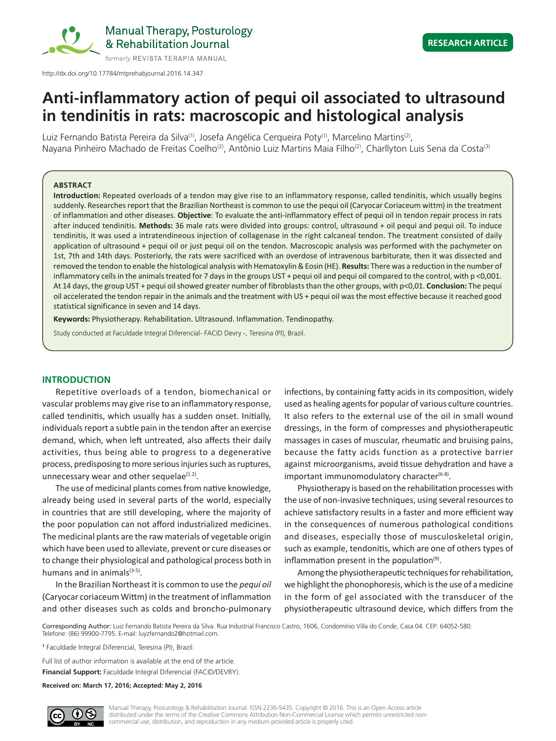

# **RESEARCH ARTICLE**

# **Anti-inflammatory action of pequi oil associated to ultrasound in tendinitis in rats: macroscopic and histological analysis**

Luiz Fernando Batista Pereira da Silva<sup>(1)</sup>, Josefa Angélica Cerqueira Poty<sup>(1)</sup>, Marcelino Martins<sup>(2)</sup>, Nayana Pinheiro Machado de Freitas Coelho<sup>(2)</sup>, Antônio Luiz Martins Maia Filho<sup>(2)</sup>, Charllyton Luis Sena da Costa<sup>(3)</sup>

# **ABSTRACT**

**Introduction:** Repeated overloads of a tendon may give rise to an inflammatory response, called tendinitis, which usually begins suddenly. Researches report that the Brazilian Northeast is common to use the pequi oil (Caryocar Coriaceum wittm) in the treatment of inflammation and other diseases. **Objective**: To evaluate the anti-inflammatory effect of pequi oil in tendon repair process in rats after induced tendinitis. Methods: 36 male rats were divided into groups: control, ultrasound + oil pequi and pequi oil. To induce tendinitis, it was used a intratendineous injection of collagenase in the right calcaneal tendon. The treatment consisted of daily application of ultrasound + pequi oil or just pequi oil on the tendon. Macroscopic analysis was performed with the pachymeter on 1st, 7th and 14th days. Posteriorly, the rats were sacrificed with an overdose of intravenous barbiturate, then it was dissected and removed the tendon to enable the histological analysis with Hematoxylin & Eosin (HE). **Results:** There was a reduction in the number of inflammatory cells in the animals treated for 7 days in the groups UST + pequi oil and pequi oil compared to the control, with p <0,001. At 14 days, the group UST + pequi oil showed greater number of fibroblasts than the other groups, with p<0,01. **Conclusion:** The pequi oil accelerated the tendon repair in the animals and the treatment with US + pequi oil was the most effective because it reached good statistical significance in seven and 14 days.

**Keywords:** Physiotherapy. Rehabilitation. Ultrasound. Inflammation. Tendinopathy.

Study conducted at Faculdade Integral Diferencial- FACID Devry -, Teresina (PI), Brazil.

# **INTRODUCTION**

Repetitive overloads of a tendon, biomechanical or vascular problems may give rise to an inflammatory response, called tendinitis, which usually has a sudden onset. Initially, individuals report a subtle pain in the tendon after an exercise demand, which, when left untreated, also affects their daily activities, thus being able to progress to a degenerative process, predisposing to more serious injuries such as ruptures, unnecessary wear and other sequelae $(1.2)$ .

The use of medicinal plants comes from native knowledge, already being used in several parts of the world, especially in countries that are still developing, where the majority of the poor population can not afford industrialized medicines. The medicinal plants are the raw materials of vegetable origin which have been used to alleviate, prevent or cure diseases or to change their physiological and pathological process both in humans and in animals $(3-5)$ .

In the Brazilian Northeast it is common to use the *pequi oil* (Caryocar coriaceum Wittm) in the treatment of inflammation and other diseases such as colds and broncho-pulmonary

infections, by containing fatty acids in its composition, widely used as healing agents for popular of various culture countries. It also refers to the external use of the oil in small wound dressings, in the form of compresses and physiotherapeutic massages in cases of muscular, rheumatic and bruising pains, because the fatty acids function as a protective barrier against microorganisms, avoid tissue dehydration and have a important immunomodulatory character<sup>(6-8)</sup>.

Physiotherapy is based on the rehabilitation processes with the use of non-invasive techniques, using several resources to achieve satisfactory results in a faster and more efficient way in the consequences of numerous pathological conditions and diseases, especially those of musculoskeletal origin, such as example, tendonitis, which are one of others types of inflammation present in the population $(9)$ .

Among the physiotherapeutic techniques for rehabilitation, we highlight the phonophoresis, which is the use of a medicine in the form of gel associated with the transducer of the physiotherapeutic ultrasound device, which differs from the

Corresponding Author: Luiz Fernando Batista Pereira da Silva. Rua Industrial Francisco Castro, 1606, Condomínio Villa do Conde, Casa 04. CEP: 64052-580. Telefone: (86) 99900-7795. E-mail: luyzfernando2@hotmail.com.

**1** Faculdade Integral Diferencial, Teresina (PI), Brazil.

Full list of author information is available at the end of the article.

**Financial Support:** Faculdade Integral Diferencial (FACID/DEVRY).

**Received on: March 17, 2016; Accepted: May 2, 2016**

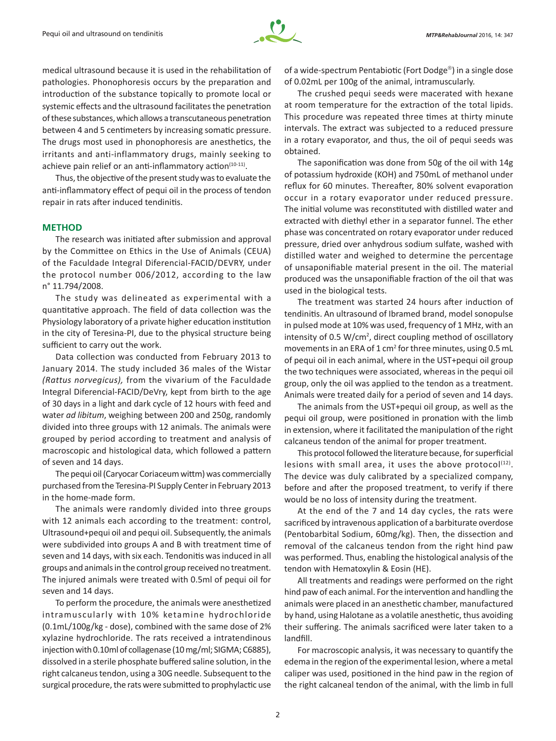

medical ultrasound because it is used in the rehabilitation of pathologies. Phonophoresis occurs by the preparation and introduction of the substance topically to promote local or systemic effects and the ultrasound facilitates the penetration of these substances, which allows a transcutaneous penetration between 4 and 5 centimeters by increasing somatic pressure. The drugs most used in phonophoresis are anesthetics, the irritants and anti-inflammatory drugs, mainly seeking to achieve pain relief or an anti-inflammatory action<sup>(10-11)</sup>.

Thus, the objective of the present study was to evaluate the anti-inflammatory effect of pequi oil in the process of tendon repair in rats after induced tendinitis.

## **METHOD**

The research was initiated after submission and approval by the Committee on Ethics in the Use of Animals (CEUA) of the Faculdade Integral Diferencial-FACID/DEVRY, under the protocol number 006/2012, according to the law n° 11.794/2008.

The study was delineated as experimental with a quantitative approach. The field of data collection was the Physiology laboratory of a private higher education institution in the city of Teresina-PI, due to the physical structure being sufficient to carry out the work.

Data collection was conducted from February 2013 to January 2014. The study included 36 males of the Wistar *(Rattus norvegicus),* from the vivarium of the Faculdade Integral Diferencial-FACID/DeVry, kept from birth to the age of 30 days in a light and dark cycle of 12 hours with feed and water *ad libitum*, weighing between 200 and 250g, randomly divided into three groups with 12 animals. The animals were grouped by period according to treatment and analysis of macroscopic and histological data, which followed a pattern of seven and 14 days.

The pequi oil (Caryocar Coriaceum wittm) was commercially purchased from the Teresina-PI Supply Center in February 2013 in the home-made form.

The animals were randomly divided into three groups with 12 animals each according to the treatment: control, Ultrasound+pequi oil and pequi oil. Subsequently, the animals were subdivided into groups A and B with treatment time of seven and 14 days, with six each. Tendonitis was induced in all groups and animals in the control group received no treatment. The injured animals were treated with 0.5ml of pequi oil for seven and 14 days.

To perform the procedure, the animals were anesthetized intramuscularly with 10% ketamine hydrochloride (0.1mL/100g/kg - dose), combined with the same dose of 2% xylazine hydrochloride. The rats received a intratendinous injection with 0.10ml of collagenase (10 mg/ml; SIGMA; C6885), dissolved in a sterile phosphate buffered saline solution, in the right calcaneus tendon, using a 30G needle. Subsequent to the surgical procedure, the rats were submitted to prophylactic use

of a wide-spectrum Pentabiotic (Fort Dodge<sup>®</sup>) in a single dose of 0.02mL per 100g of the animal, intramuscularly.

The crushed pequi seeds were macerated with hexane at room temperature for the extraction of the total lipids. This procedure was repeated three times at thirty minute intervals. The extract was subjected to a reduced pressure in a rotary evaporator, and thus, the oil of pequi seeds was obtained.

The saponification was done from 50g of the oil with 14g of potassium hydroxide (KOH) and 750mL of methanol under reflux for 60 minutes. Thereafter, 80% solvent evaporation occur in a rotary evaporator under reduced pressure. The initial volume was reconstituted with distilled water and extracted with diethyl ether in a separator funnel. The ether phase was concentrated on rotary evaporator under reduced pressure, dried over anhydrous sodium sulfate, washed with distilled water and weighed to determine the percentage of unsaponifiable material present in the oil. The material produced was the unsaponifiable fraction of the oil that was used in the biological tests.

The treatment was started 24 hours after induction of tendinitis. An ultrasound of Ibramed brand, model sonopulse in pulsed mode at 10% was used, frequency of 1 MHz, with an intensity of 0.5 W/cm<sup>2</sup>, direct coupling method of oscillatory movements in an ERA of 1 cm<sup>2</sup> for three minutes, using 0.5 mL of pequi oil in each animal, where in the UST+pequi oil group the two techniques were associated, whereas in the pequi oil group, only the oil was applied to the tendon as a treatment. Animals were treated daily for a period of seven and 14 days.

The animals from the UST+pequi oil group, as well as the pequi oil group, were positioned in pronation with the limb in extension, where it facilitated the manipulation of the right calcaneus tendon of the animal for proper treatment.

This protocol followed the literature because, for superficial lesions with small area, it uses the above protocol $(12)$ . The device was duly calibrated by a specialized company, before and after the proposed treatment, to verify if there would be no loss of intensity during the treatment.

At the end of the 7 and 14 day cycles, the rats were sacrificed by intravenous application of a barbiturate overdose (Pentobarbital Sodium, 60mg/kg). Then, the dissection and removal of the calcaneus tendon from the right hind paw was performed. Thus, enabling the histological analysis of the tendon with Hematoxylin & Eosin (HE).

All treatments and readings were performed on the right hind paw of each animal. For the intervention and handling the animals were placed in an anesthetic chamber, manufactured by hand, using Halotane as a volatile anesthetic, thus avoiding their suffering. The animals sacrificed were later taken to a landfill.

For macroscopic analysis, it was necessary to quantify the edema in the region of the experimental lesion, where a metal caliper was used, positioned in the hind paw in the region of the right calcaneal tendon of the animal, with the limb in full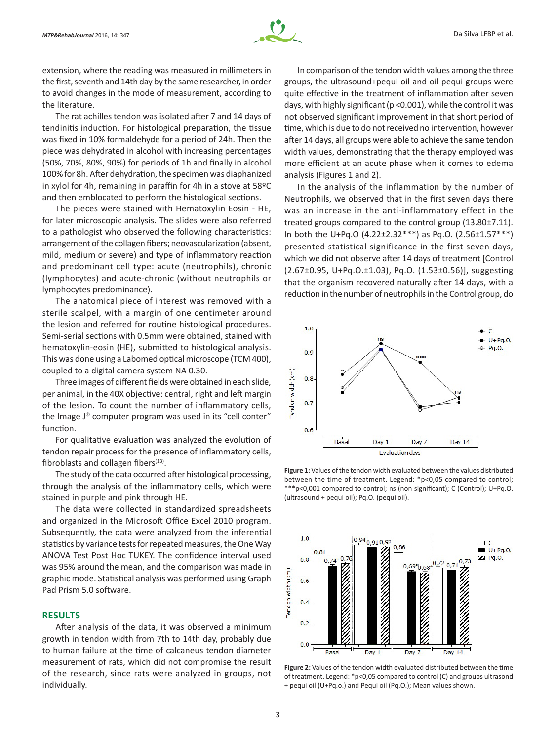

extension, where the reading was measured in millimeters in the first, seventh and 14th day by the same researcher, in order to avoid changes in the mode of measurement, according to the literature.

The rat achilles tendon was isolated after 7 and 14 days of tendinitis induction. For histological preparation, the tissue was fixed in 10% formaldehyde for a period of 24h. Then the piece was dehydrated in alcohol with increasing percentages (50%, 70%, 80%, 90%) for periods of 1h and finally in alcohol 100% for 8h. After dehydration, the specimen was diaphanized in xylol for 4h, remaining in paraffin for 4h in a stove at 58ºC and then emblocated to perform the histological sections.

The pieces were stained with Hematoxylin Eosin - HE, for later microscopic analysis. The slides were also referred to a pathologist who observed the following characteristics: arrangement of the collagen fibers; neovascularization (absent, mild, medium or severe) and type of inflammatory reaction and predominant cell type: acute (neutrophils), chronic (lymphocytes) and acute-chronic (without neutrophils or lymphocytes predominance).

The anatomical piece of interest was removed with a sterile scalpel, with a margin of one centimeter around the lesion and referred for routine histological procedures. Semi-serial sections with 0.5mm were obtained, stained with hematoxylin-eosin (HE), submitted to histological analysis. This was done using a Labomed optical microscope (TCM 400), coupled to a digital camera system NA 0.30.

Three images of different fields were obtained in each slide, per animal, in the 40X objective: central, right and left margin of the lesion. To count the number of inflammatory cells, the Image  $J^{\circledast}$  computer program was used in its "cell conter" function.

For qualitative evaluation was analyzed the evolution of tendon repair process for the presence of inflammatory cells, fibroblasts and collagen fibers $(13)$ .

The study of the data occurred after histological processing, through the analysis of the inflammatory cells, which were stained in purple and pink through HE.

The data were collected in standardized spreadsheets and organized in the Microsoft Office Excel 2010 program. Subsequently, the data were analyzed from the inferential statistics by variance tests for repeated measures, the One Way ANOVA Test Post Hoc TUKEY. The confidence interval used was 95% around the mean, and the comparison was made in graphic mode. Statistical analysis was performed using Graph Pad Prism 5.0 software.

# **RESULTS**

After analysis of the data, it was observed a minimum growth in tendon width from 7th to 14th day, probably due to human failure at the time of calcaneus tendon diameter measurement of rats, which did not compromise the result of the research, since rats were analyzed in groups, not individually.

In comparison of the tendon width values among the three groups, the ultrasound+pequi oil and oil pequi groups were quite effective in the treatment of inflammation after seven days, with highly significant (p <0.001), while the control it was not observed significant improvement in that short period of time, which is due to do not received no intervention, however after 14 days, all groups were able to achieve the same tendon width values, demonstrating that the therapy employed was more efficient at an acute phase when it comes to edema analysis (Figures 1 and 2).

In the analysis of the inflammation by the number of Neutrophils, we observed that in the first seven days there was an increase in the anti-inflammatory effect in the treated groups compared to the control group (13.80±7.11). In both the U+Pq.O (4.22±2.32\*\*\*) as Pq.O. (2.56±1.57\*\*\*) presented statistical significance in the first seven days, which we did not observe after 14 days of treatment [Control (2.67±0.95, U+Pq.O.±1.03), Pq.O. (1.53±0.56)], suggesting that the organism recovered naturally after 14 days, with a reduction in the number of neutrophils in the Control group, do



**Figure 1:** Values of the tendon width evaluated between the values distributed between the time of treatment. Legend: \*p<0,05 compared to control; \*\*\*p<0,001 compared to control; ns (non significant); C (Control); U+Pq.O. (ultrasound + pequi oil); Pq.O. (pequi oil).



**Figure 2:** Values of the tendon width evaluated distributed between the time of treatment. Legend: \*p<0,05 compared to control (C) and groups ultrasond + pequi oil (U+Pq.o.) and Pequi oil (Pq.O.); Mean values shown.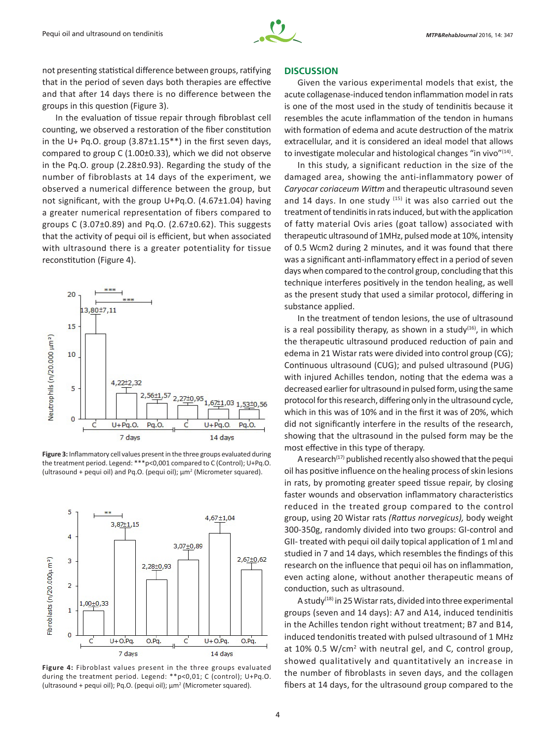

not presenting statistical difference between groups, ratifying that in the period of seven days both therapies are effective and that after 14 days there is no difference between the groups in this question (Figure 3).

In the evaluation of tissue repair through fibroblast cell counting, we observed a restoration of the fiber constitution in the U+ Pq.O. group (3.87±1.15\*\*) in the first seven days, compared to group C (1.00±0.33), which we did not observe in the Pq.O. group (2.28±0.93). Regarding the study of the number of fibroblasts at 14 days of the experiment, we observed a numerical difference between the group, but not significant, with the group U+Pq.O. (4.67±1.04) having a greater numerical representation of fibers compared to groups C (3.07±0.89) and Pq.O. (2.67±0.62). This suggests that the activity of pequi oil is efficient, but when associated with ultrasound there is a greater potentiality for tissue reconstitution (Figure 4).



**Figure 3:** Inflammatory cell values present in the three groups evaluated during the treatment period. Legend: \*\*\*p<0,001 compared to C (Control); U+Pq.O. (ultrasound + pequi oil) and Pq.O. (pequi oil); μm2 (Micrometer squared).



**Figure 4:** Fibroblast values present in the three groups evaluated during the treatment period. Legend: \*\*p<0,01; C (control); U+Pq.O. (ultrasound + pequi oil); Pq.O. (pequi oil); μm<sup>2</sup> (Micrometer squared).

## **DISCUSSION**

Given the various experimental models that exist, the acute collagenase-induced tendon inflammation model in rats is one of the most used in the study of tendinitis because it resembles the acute inflammation of the tendon in humans with formation of edema and acute destruction of the matrix extracellular, and it is considered an ideal model that allows to investigate molecular and histological changes "in vivo"(14).

In this study, a significant reduction in the size of the damaged area, showing the anti-inflammatory power of *Caryocar coriaceum Wittm* and therapeutic ultrasound seven and 14 days. In one study  $(15)$  it was also carried out the treatment of tendinitis in rats induced, but with the application of fatty material Ovis aries (goat tallow) associated with therapeutic ultrasound of 1MHz, pulsed mode at 10%, intensity of 0.5 Wcm2 during 2 minutes, and it was found that there was a significant anti-inflammatory effect in a period of seven days when compared to the control group, concluding that this technique interferes positively in the tendon healing, as well as the present study that used a similar protocol, differing in substance applied.

In the treatment of tendon lesions, the use of ultrasound is a real possibility therapy, as shown in a study $(16)$ , in which the therapeutic ultrasound produced reduction of pain and edema in 21 Wistar rats were divided into control group (CG); Continuous ultrasound (CUG); and pulsed ultrasound (PUG) with injured Achilles tendon, noting that the edema was a decreased earlier for ultrasound in pulsed form, using the same protocol for this research, differing only in the ultrasound cycle, which in this was of 10% and in the first it was of 20%, which did not significantly interfere in the results of the research, showing that the ultrasound in the pulsed form may be the most effective in this type of therapy.

A research<sup>(17)</sup> published recently also showed that the pequi oil has positive influence on the healing process of skin lesions in rats, by promoting greater speed tissue repair, by closing faster wounds and observation inflammatory characteristics reduced in the treated group compared to the control group, using 20 Wistar rats *(Rattus norvegicus),* body weight 300‑350g, randomly divided into two groups: GI-control and GII- treated with pequi oil daily topical application of 1 ml and studied in 7 and 14 days, which resembles the findings of this research on the influence that pequi oil has on inflammation, even acting alone, without another therapeutic means of conduction, such as ultrasound.

A study<sup>(18)</sup> in 25 Wistar rats, divided into three experimental groups (seven and 14 days): A7 and A14, induced tendinitis in the Achilles tendon right without treatment; B7 and B14, induced tendonitis treated with pulsed ultrasound of 1 MHz at 10% 0.5 W/cm<sup>2</sup> with neutral gel, and C, control group, showed qualitatively and quantitatively an increase in the number of fibroblasts in seven days, and the collagen fibers at 14 days, for the ultrasound group compared to the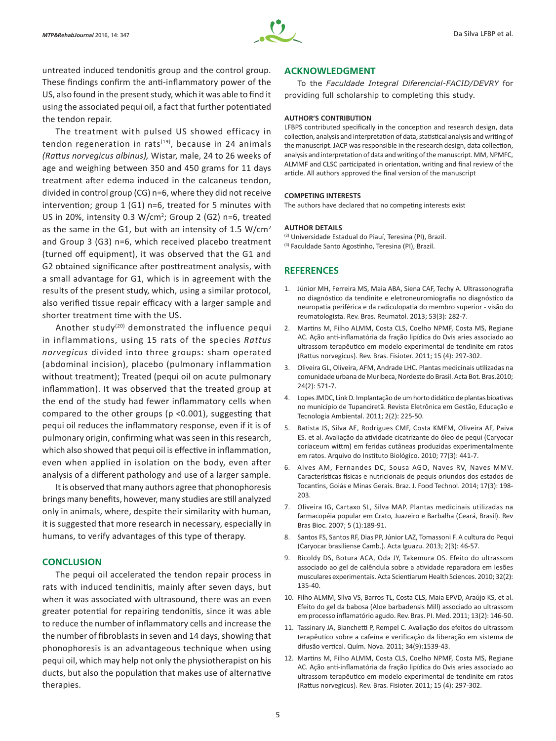

untreated induced tendonitis group and the control group. These findings confirm the anti-inflammatory power of the US, also found in the present study, which it was able to find it using the associated pequi oil, a fact that further potentiated the tendon repair.

The treatment with pulsed US showed efficacy in tendon regeneration in rats $(19)$ , because in 24 animals *(Rattus norvegicus albinus),* Wistar, male, 24 to 26 weeks of age and weighing between 350 and 450 grams for 11 days treatment after edema induced in the calcaneus tendon, divided in control group (CG) n=6, where they did not receive intervention; group 1 (G1) n=6, treated for 5 minutes with US in 20%, intensity 0.3 W/cm<sup>2</sup>; Group 2 (G2) n=6, treated as the same in the G1, but with an intensity of 1.5  $W/cm^2$ and Group 3 (G3) n=6, which received placebo treatment (turned off equipment), it was observed that the G1 and G2 obtained significance after posttreatment analysis, with a small advantage for G1, which is in agreement with the results of the present study, which, using a similar protocol, also verified tissue repair efficacy with a larger sample and shorter treatment time with the US.

Another study<sup>(20)</sup> demonstrated the influence pequi in inflammations, using 15 rats of the species *Rattus norvegicus* divided into three groups: sham operated (abdominal incision), placebo (pulmonary inflammation without treatment); Treated (pequi oil on acute pulmonary inflammation). It was observed that the treated group at the end of the study had fewer inflammatory cells when compared to the other groups (p <0.001), suggesting that pequi oil reduces the inflammatory response, even if it is of pulmonary origin, confirming what was seen in this research, which also showed that pequi oil is effective in inflammation, even when applied in isolation on the body, even after analysis of a different pathology and use of a larger sample.

It is observed that many authors agree that phonophoresis brings many benefits, however, many studies are still analyzed only in animals, where, despite their similarity with human, it is suggested that more research in necessary, especially in humans, to verify advantages of this type of therapy.

# **CONCLUSION**

The pequi oil accelerated the tendon repair process in rats with induced tendinitis, mainly after seven days, but when it was associated with ultrasound, there was an even greater potential for repairing tendonitis, since it was able to reduce the number of inflammatory cells and increase the the number of fibroblasts in seven and 14 days, showing that phonophoresis is an advantageous technique when using pequi oil, which may help not only the physiotherapist on his ducts, but also the population that makes use of alternative therapies.

# **ACKNOWLEDGMENT**

To the *Faculdade Integral Diferencial-FACID/DEVRY* for providing full scholarship to completing this study.

#### **AUTHOR'S CONTRIBUTION**

LFBPS contributed specifically in the conception and research design, data collection, analysis and interpretation of data, statistical analysis and writing of the manuscript. JACP was responsible in the research design, data collection, analysis and interpretation of data and writing of the manuscript. MM, NPMFC, ALMMF and CLSC participated in orientation, writing and final review of the article. All authors approved the final version of the manuscript

### **COMPETING INTERESTS**

The authors have declared that no competing interests exist

#### **AUTHOR DETAILS**

(2) Universidade Estadual do Piauí, Teresina (PI), Brazil. (3) Faculdade Santo Agostinho, Teresina (PI), Brazil.

## **REFERENCES**

- 1. Júnior MH, Ferreira MS, Maia ABA, Siena CAF, Techy A. Ultrassonografia no diagnóstico da tendinite e eletroneuromiografia no diagnóstico da neuropatia periférica e da radiculopatia do membro superior - visão do reumatologista. Rev. Bras. Reumatol. 2013; 53(3): 282-7.
- 2. Martins M, Filho ALMM, Costa CLS, Coelho NPMF, Costa MS, Regiane AC. Ação anti-inflamatória da fração lipídica do Ovis aries associado ao ultrassom terapêutico em modelo experimental de tendinite em ratos (Rattus norvegicus). Rev. Bras. Fisioter. 2011; 15 (4): 297-302.
- 3. Oliveira GL, Oliveira, AFM, Andrade LHC. Plantas medicinais utilizadas na comunidade urbana de Muribeca, Nordeste do Brasil. Acta Bot. Bras.2010; 24(2): 571-7.
- 4. Lopes JMDC, Link D. Implantação de um horto didático de plantas bioativas no município de Tupanciretã. Revista Eletrônica em Gestão, Educação e Tecnologia Ambiental. 2011; 2(2): 225-50.
- 5. Batista JS, Silva AE, Rodrigues CMF, Costa KMFM, Oliveira AF, Paiva ES. et al. Avaliação da atividade cicatrizante do óleo de pequi (Caryocar coriaceum wittm) em feridas cutâneas produzidas experimentalmente em ratos. Arquivo do Instituto Biológico. 2010; 77(3): 441-7.
- 6. Alves AM, Fernandes DC, Sousa AGO, Naves RV, Naves MMV. Características físicas e nutricionais de pequis oriundos dos estados de Tocantins, Goiás e Minas Gerais. Braz. J. Food Technol. 2014; 17(3): 198- 203.
- 7. Oliveira IG, Cartaxo SL, Silva MAP. Plantas medicinais utilizadas na farmacopéia popular em Crato, Juazeiro e Barbalha (Ceará, Brasil). Rev Bras Bioc. 2007; 5 (1):189-91.
- 8. Santos FS, Santos RF, Dias PP, Júnior LAZ, Tomassoni F. A cultura do Pequi (Caryocar brasiliense Camb.). Acta Iguazu. 2013; 2(3): 46-57.
- 9. Ricoldy DS, Botura ACA, Oda JY, Takemura OS. Efeito do ultrassom associado ao gel de calêndula sobre a atividade reparadora em lesões musculares experimentais. Acta Scientiarum Health Sciences. 2010; 32(2): 135-40.
- 10. Filho ALMM, Silva VS, Barros TL, Costa CLS, Maia EPVD, Araújo KS, et al. Efeito do gel da babosa (Aloe barbadensis Mill) associado ao ultrassom em processo inflamatório agudo. Rev. Bras. PI. Med. 2011; 13(2): 146-50.
- 11. Tassinary JA, Bianchetti P, Rempel C. Avaliação dos efeitos do ultrassom terapêutico sobre a cafeína e verificação da liberação em sistema de difusão vertical. Quím. Nova. 2011; 34(9):1539-43.
- 12. Martins M, Filho ALMM, Costa CLS, Coelho NPMF, Costa MS, Regiane AC. Ação anti-inflamatória da fração lipídica do Ovis aries associado ao ultrassom terapêutico em modelo experimental de tendinite em ratos (Rattus norvegicus). Rev. Bras. Fisioter. 2011; 15 (4): 297-302.